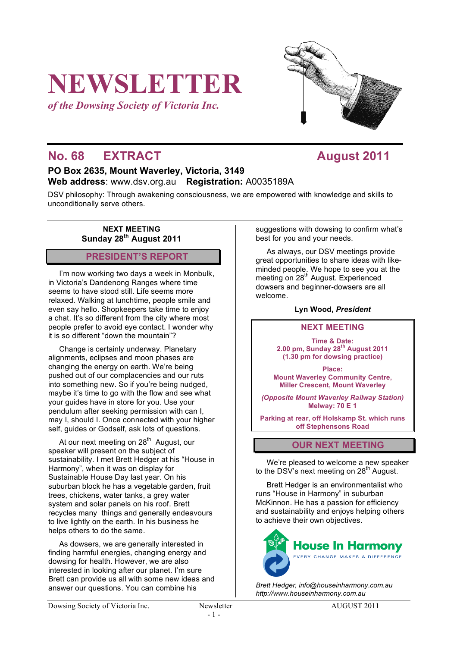# **NEWSLETTER**

*of the Dowsing Society of Victoria Inc.*



# **No. 68 EXTRACT August 2011**

# **PO Box 2635, Mount Waverley, Victoria, 3149 Web address**: www.dsv.org.au **Registration:** A0035189A

DSV philosophy: Through awakening consciousness, we are empowered with knowledge and skills to unconditionally serve others.

## **NEXT MEETING** Sunday 28<sup>th</sup> August 2011

# **PRESIDENT'S REPORT**

I'm now working two days a week in Monbulk, in Victoria's Dandenong Ranges where time seems to have stood still. Life seems more relaxed. Walking at lunchtime, people smile and even say hello. Shopkeepers take time to enjoy a chat. It's so different from the city where most people prefer to avoid eye contact. I wonder why it is so different "down the mountain"?

Change is certainly underway. Planetary alignments, eclipses and moon phases are changing the energy on earth. We're being pushed out of our complacencies and our ruts into something new. So if you're being nudged, maybe it's time to go with the flow and see what your guides have in store for you. Use your pendulum after seeking permission with can I, may I, should I. Once connected with your higher self, guides or Godself, ask lots of questions.

At our next meeting on 28<sup>th</sup> August, our speaker will present on the subject of sustainability. I met Brett Hedger at his "House in Harmony", when it was on display for Sustainable House Day last year. On his suburban block he has a vegetable garden, fruit trees, chickens, water tanks, a grey water system and solar panels on his roof. Brett recycles many things and generally endeavours to live lightly on the earth. In his business he helps others to do the same.

As dowsers, we are generally interested in finding harmful energies, changing energy and dowsing for health. However, we are also interested in looking after our planet. I'm sure Brett can provide us all with some new ideas and answer our questions. You can combine his

suggestions with dowsing to confirm what's best for you and your needs.

As always, our DSV meetings provide great opportunities to share ideas with likeminded people. We hope to see you at the meeting on 28<sup>th</sup> August. Experienced dowsers and beginner-dowsers are all welcome.

## **Lyn Wood,** *President*

# **NEXT MEETING**

**Time & Date: 2.00 pm, Sunday 28th August 2011 (1.30 pm for dowsing practice)**

**Place: Mount Waverley Community Centre, Miller Crescent, Mount Waverley**

*(Opposite Mount Waverley Railway Station)* **Melway: 70 E 1**

**Parking at rear, off Holskamp St. which runs off Stephensons Road**

# **OUR NEXT MEETING**

We're pleased to welcome a new speaker to the DSV's next meeting on  $28<sup>th</sup>$  August.

Brett Hedger is an environmentalist who runs "House in Harmony" in suburban McKinnon. He has a passion for efficiency and sustainability and enjoys helping others to achieve their own objectives.



*Brett Hedger, info@houseinharmony.com.au http://www.houseinharmony.com.au*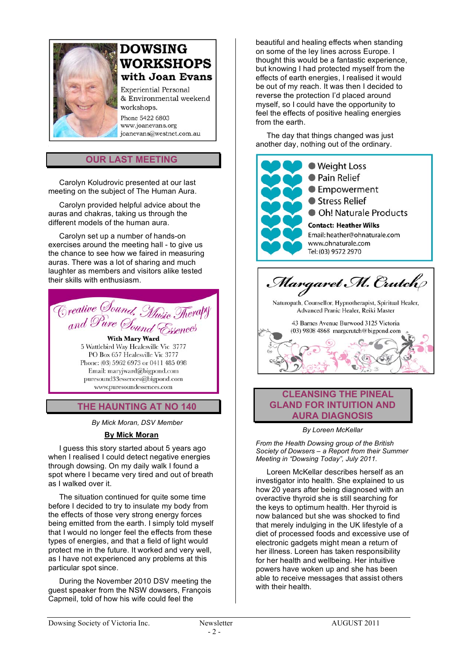

# **DOWSING WORKSHOPS** with Joan Evans

**Experiential Personal** & Environmental weekend workshops.

Phone 5422 6803 www.joanevans.org joanevans@westnet.com.au

# **OUR LAST MEETING**

Carolyn Koludrovic presented at our last meeting on the subject of The Human Aura.

Carolyn provided helpful advice about the auras and chakras, taking us through the different models of the human aura.

Carolyn set up a number of hands-on exercises around the meeting hall - to give us the chance to see how we faired in measuring auras. There was a lot of sharing and much laughter as members and visitors alike tested their skills with enthusiasm.

Creative Sound, Music Therapy **With Mary Ward** 5 Wattlebird Way Healesville Vic 3777 PO Box 657 Healesville Vic 3777 Phone: (03) 5962 6973 or 0411 485 098 Email: maryjward@bigpond.com

puresound33essences@bigpond.com www.puresoundessences.com

# **THE HAUNTING AT NO 140**

*By Mick Moran, DSV Member*

# **By Mick Moran**

I guess this story started about 5 years ago when I realised I could detect negative energies through dowsing. On my daily walk I found a spot where I became very tired and out of breath as I walked over it.

The situation continued for quite some time before I decided to try to insulate my body from the effects of those very strong energy forces being emitted from the earth. I simply told myself that I would no longer feel the effects from these types of energies, and that a field of light would protect me in the future. It worked and very well, as I have not experienced any problems at this particular spot since.

During the November 2010 DSV meeting the guest speaker from the NSW dowsers, François Capmeil, told of how his wife could feel the

beautiful and healing effects when standing on some of the ley lines across Europe. I thought this would be a fantastic experience, but knowing I had protected myself from the effects of earth energies, I realised it would be out of my reach. It was then I decided to reverse the protection I'd placed around myself, so I could have the opportunity to feel the effects of positive healing energies from the earth.

The day that things changed was just another day, nothing out of the ordinary.



Naturopath, Counsellor, Hypnotherapist, Spiritual Healer, Advanced Pranic Healer, Reiki Master

> 43 Barnes Avenue Burwood 3125 Victoria (03) 9808 4868 margcrutch@bigpond.com



# **CLEANSING THE PINEAL GLAND FOR INTUITION AND AURA DIAGNOSIS**

*By Loreen McKellar*

*From the Health Dowsing group of the British Society of Dowsers – a Report from their Summer Meeting in "Dowsing Today", July 2011.*

Loreen McKellar describes herself as an investigator into health. She explained to us how 20 years after being diagnosed with an overactive thyroid she is still searching for the keys to optimum health. Her thyroid is now balanced but she was shocked to find that merely indulging in the UK lifestyle of a diet of processed foods and excessive use of electronic gadgets might mean a return of her illness. Loreen has taken responsibility for her health and wellbeing. Her intuitive powers have woken up and she has been able to receive messages that assist others with their health.